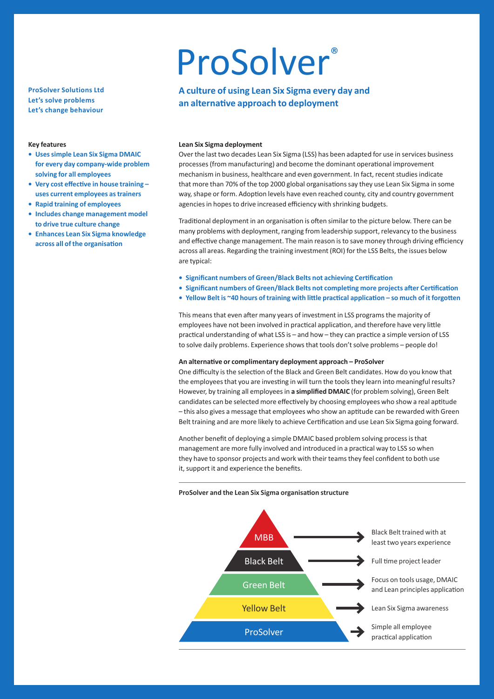# **ProSolver Solutions Ltd Let's solve problems Let's change behaviour**

#### **Key features**

- **• Uses simple Lean Six Sigma DMAIC for every day company-wide problem solving for all employees**
- **• Very cost effective in house training uses current employees as trainers**
- **• Rapid training of employees**
- **• Includes change management model to drive true culture change**
- **• Enhances Lean Six Sigma knowledge across all of the organisation**

# **ProSolver**®

# **A culture of using Lean Six Sigma every day and an alternative approach to deployment**

# **Lean Six Sigma deployment**

Over the last two decades Lean Six Sigma (LSS) has been adapted for use in services business processes (from manufacturing) and become the dominant operational improvement mechanism in business, healthcare and even government. In fact, recent studies indicate that more than 70% of the top 2000 global organisations say they use Lean Six Sigma in some way, shape or form. Adoption levels have even reached county, city and country government agencies in hopes to drive increased efficiency with shrinking budgets.

Traditional deployment in an organisation is often similar to the picture below. There can be many problems with deployment, ranging from leadership support, relevancy to the business and effective change management. The main reason is to save money through driving efficiency across all areas. Regarding the training investment (ROI) for the LSS Belts, the issues below are typical:

- **• Significant numbers of Green/Black Belts not achieving Certification**
- **• Significant numbers of Green/Black Belts not completing more projects after Certification**
- **• Yellow Belt is ~40 hours of training with little practical application so much of it forgotten**

This means that even after many years of investment in LSS programs the majority of employees have not been involved in practical application, and therefore have very little practical understanding of what LSS is – and how – they can practice a simple version of LSS to solve daily problems. Experience shows that tools don't solve problems – people do!

## **An alternative or complimentary deployment approach – ProSolver**

One difficulty is the selection of the Black and Green Belt candidates. How do you know that the employees that you are investing in will turn the tools they learn into meaningful results? However, by training all employees in **a simplified DMAIC** (for problem solving), Green Belt candidates can be selected more effectively by choosing employees who show a real aptitude – this also gives a message that employees who show an aptitude can be rewarded with Green Belt training and are more likely to achieve Certification and use Lean Six Sigma going forward.

Another benefit of deploying a simple DMAIC based problem solving process is that management are more fully involved and introduced in a practical way to LSS so when they have to sponsor projects and work with their teams they feel confident to both use it, support it and experience the benefits.